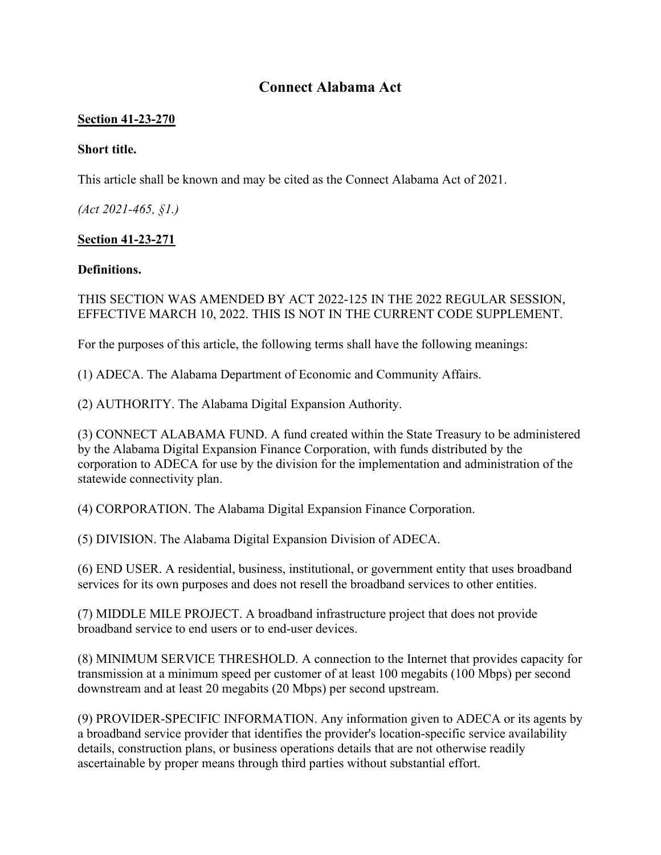# **Connect Alabama Act**

#### **Section 41-23-270**

#### **Short title.**

This article shall be known and may be cited as the Connect Alabama Act of 2021.

*(Act 2021-465, §1.)* 

## **Section 41-23-271**

#### **Definitions.**

### THIS SECTION WAS AMENDED BY ACT 2022-125 IN THE 2022 REGULAR SESSION, EFFECTIVE MARCH 10, 2022. THIS IS NOT IN THE CURRENT CODE SUPPLEMENT.

For the purposes of this article, the following terms shall have the following meanings:

(1) ADECA. The Alabama Department of Economic and Community Affairs.

(2) AUTHORITY. The Alabama Digital Expansion Authority.

(3) CONNECT ALABAMA FUND. A fund created within the State Treasury to be administered by the Alabama Digital Expansion Finance Corporation, with funds distributed by the corporation to ADECA for use by the division for the implementation and administration of the statewide connectivity plan.

(4) CORPORATION. The Alabama Digital Expansion Finance Corporation.

(5) DIVISION. The Alabama Digital Expansion Division of ADECA.

(6) END USER. A residential, business, institutional, or government entity that uses broadband services for its own purposes and does not resell the broadband services to other entities.

(7) MIDDLE MILE PROJECT. A broadband infrastructure project that does not provide broadband service to end users or to end-user devices.

(8) MINIMUM SERVICE THRESHOLD. A connection to the Internet that provides capacity for transmission at a minimum speed per customer of at least 100 megabits (100 Mbps) per second downstream and at least 20 megabits (20 Mbps) per second upstream.

(9) PROVIDER-SPECIFIC INFORMATION. Any information given to ADECA or its agents by a broadband service provider that identifies the provider's location-specific service availability details, construction plans, or business operations details that are not otherwise readily ascertainable by proper means through third parties without substantial effort.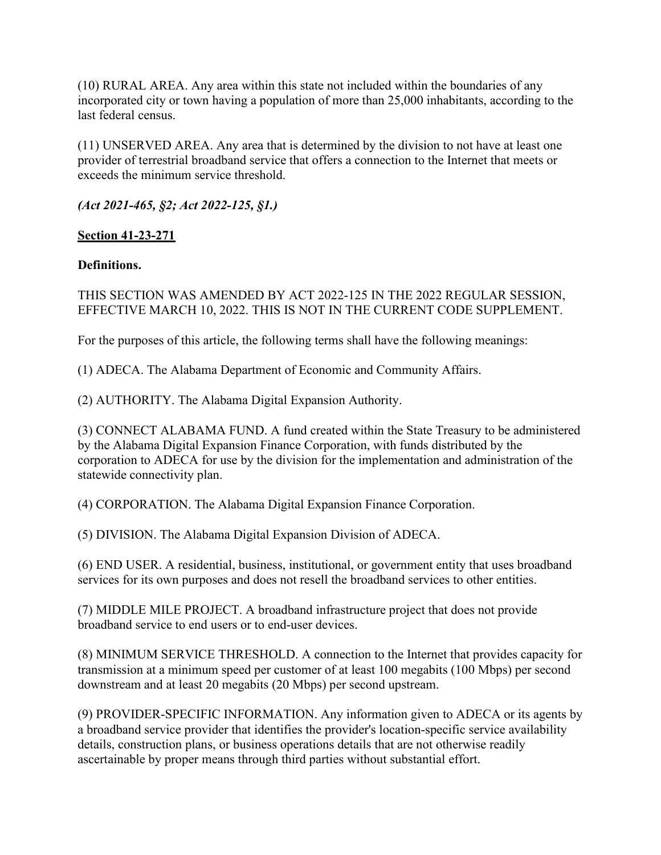(10) RURAL AREA. Any area within this state not included within the boundaries of any incorporated city or town having a population of more than 25,000 inhabitants, according to the last federal census.

(11) UNSERVED AREA. Any area that is determined by the division to not have at least one provider of terrestrial broadband service that offers a connection to the Internet that meets or exceeds the minimum service threshold.

*(Act 2021-465, §2; Act 2022-125, §1.)*

## **Section 41-23-271**

## **Definitions.**

### THIS SECTION WAS AMENDED BY ACT 2022-125 IN THE 2022 REGULAR SESSION, EFFECTIVE MARCH 10, 2022. THIS IS NOT IN THE CURRENT CODE SUPPLEMENT.

For the purposes of this article, the following terms shall have the following meanings:

(1) ADECA. The Alabama Department of Economic and Community Affairs.

(2) AUTHORITY. The Alabama Digital Expansion Authority.

(3) CONNECT ALABAMA FUND. A fund created within the State Treasury to be administered by the Alabama Digital Expansion Finance Corporation, with funds distributed by the corporation to ADECA for use by the division for the implementation and administration of the statewide connectivity plan.

(4) CORPORATION. The Alabama Digital Expansion Finance Corporation.

(5) DIVISION. The Alabama Digital Expansion Division of ADECA.

(6) END USER. A residential, business, institutional, or government entity that uses broadband services for its own purposes and does not resell the broadband services to other entities.

(7) MIDDLE MILE PROJECT. A broadband infrastructure project that does not provide broadband service to end users or to end-user devices.

(8) MINIMUM SERVICE THRESHOLD. A connection to the Internet that provides capacity for transmission at a minimum speed per customer of at least 100 megabits (100 Mbps) per second downstream and at least 20 megabits (20 Mbps) per second upstream.

(9) PROVIDER-SPECIFIC INFORMATION. Any information given to ADECA or its agents by a broadband service provider that identifies the provider's location-specific service availability details, construction plans, or business operations details that are not otherwise readily ascertainable by proper means through third parties without substantial effort.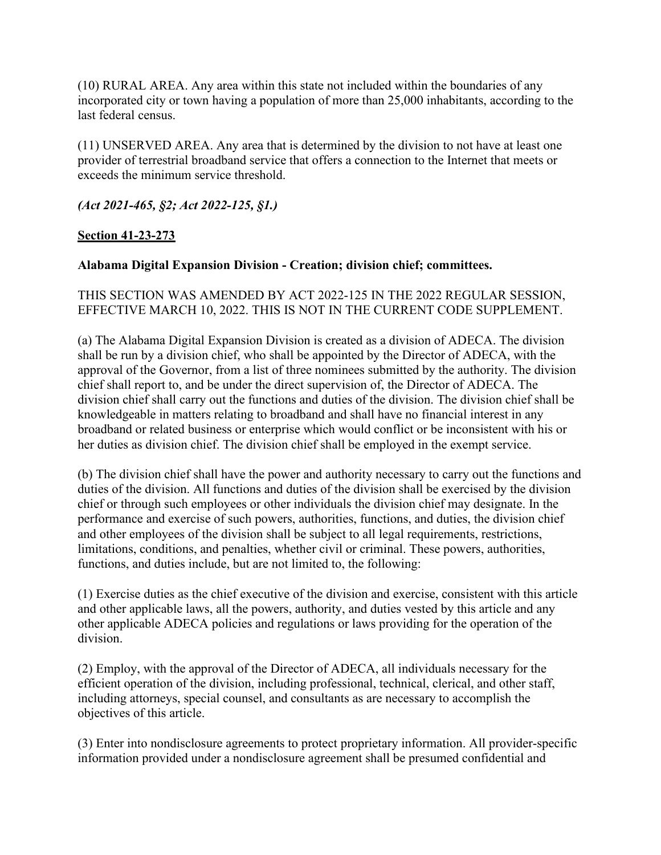(10) RURAL AREA. Any area within this state not included within the boundaries of any incorporated city or town having a population of more than 25,000 inhabitants, according to the last federal census.

(11) UNSERVED AREA. Any area that is determined by the division to not have at least one provider of terrestrial broadband service that offers a connection to the Internet that meets or exceeds the minimum service threshold.

*(Act 2021-465, §2; Act 2022-125, §1.)*

## **Section 41-23-273**

## **Alabama Digital Expansion Division - Creation; division chief; committees.**

## THIS SECTION WAS AMENDED BY ACT 2022-125 IN THE 2022 REGULAR SESSION, EFFECTIVE MARCH 10, 2022. THIS IS NOT IN THE CURRENT CODE SUPPLEMENT.

(a) The Alabama Digital Expansion Division is created as a division of ADECA. The division shall be run by a division chief, who shall be appointed by the Director of ADECA, with the approval of the Governor, from a list of three nominees submitted by the authority. The division chief shall report to, and be under the direct supervision of, the Director of ADECA. The division chief shall carry out the functions and duties of the division. The division chief shall be knowledgeable in matters relating to broadband and shall have no financial interest in any broadband or related business or enterprise which would conflict or be inconsistent with his or her duties as division chief. The division chief shall be employed in the exempt service.

(b) The division chief shall have the power and authority necessary to carry out the functions and duties of the division. All functions and duties of the division shall be exercised by the division chief or through such employees or other individuals the division chief may designate. In the performance and exercise of such powers, authorities, functions, and duties, the division chief and other employees of the division shall be subject to all legal requirements, restrictions, limitations, conditions, and penalties, whether civil or criminal. These powers, authorities, functions, and duties include, but are not limited to, the following:

(1) Exercise duties as the chief executive of the division and exercise, consistent with this article and other applicable laws, all the powers, authority, and duties vested by this article and any other applicable ADECA policies and regulations or laws providing for the operation of the division.

(2) Employ, with the approval of the Director of ADECA, all individuals necessary for the efficient operation of the division, including professional, technical, clerical, and other staff, including attorneys, special counsel, and consultants as are necessary to accomplish the objectives of this article.

(3) Enter into nondisclosure agreements to protect proprietary information. All provider-specific information provided under a nondisclosure agreement shall be presumed confidential and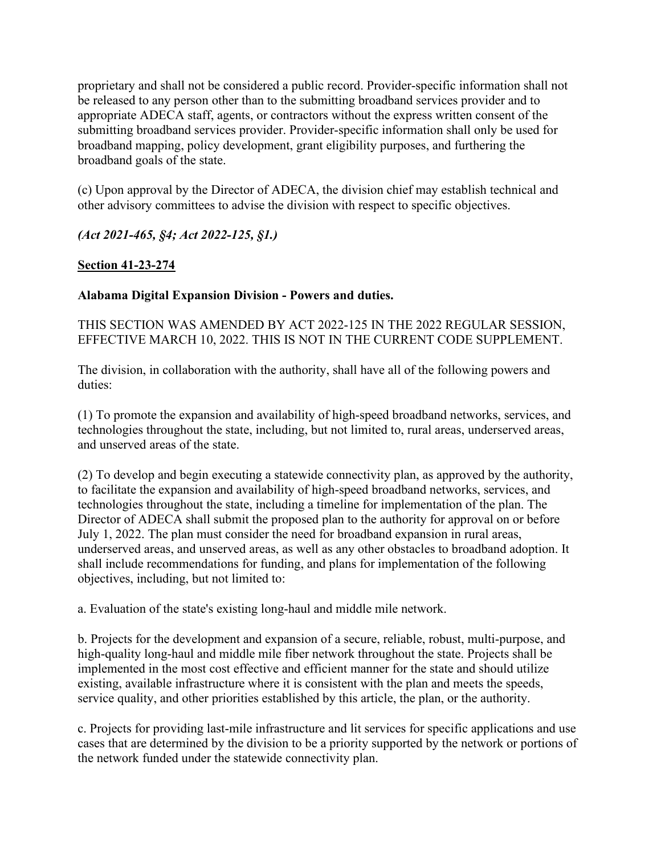proprietary and shall not be considered a public record. Provider-specific information shall not be released to any person other than to the submitting broadband services provider and to appropriate ADECA staff, agents, or contractors without the express written consent of the submitting broadband services provider. Provider-specific information shall only be used for broadband mapping, policy development, grant eligibility purposes, and furthering the broadband goals of the state.

(c) Upon approval by the Director of ADECA, the division chief may establish technical and other advisory committees to advise the division with respect to specific objectives.

## *(Act 2021-465, §4; Act 2022-125, §1.)*

## **Section 41-23-274**

## **Alabama Digital Expansion Division - Powers and duties.**

THIS SECTION WAS AMENDED BY ACT 2022-125 IN THE 2022 REGULAR SESSION, EFFECTIVE MARCH 10, 2022. THIS IS NOT IN THE CURRENT CODE SUPPLEMENT.

The division, in collaboration with the authority, shall have all of the following powers and duties:

(1) To promote the expansion and availability of high-speed broadband networks, services, and technologies throughout the state, including, but not limited to, rural areas, underserved areas, and unserved areas of the state.

(2) To develop and begin executing a statewide connectivity plan, as approved by the authority, to facilitate the expansion and availability of high-speed broadband networks, services, and technologies throughout the state, including a timeline for implementation of the plan. The Director of ADECA shall submit the proposed plan to the authority for approval on or before July 1, 2022. The plan must consider the need for broadband expansion in rural areas, underserved areas, and unserved areas, as well as any other obstacles to broadband adoption. It shall include recommendations for funding, and plans for implementation of the following objectives, including, but not limited to:

a. Evaluation of the state's existing long-haul and middle mile network.

b. Projects for the development and expansion of a secure, reliable, robust, multi-purpose, and high-quality long-haul and middle mile fiber network throughout the state. Projects shall be implemented in the most cost effective and efficient manner for the state and should utilize existing, available infrastructure where it is consistent with the plan and meets the speeds, service quality, and other priorities established by this article, the plan, or the authority.

c. Projects for providing last-mile infrastructure and lit services for specific applications and use cases that are determined by the division to be a priority supported by the network or portions of the network funded under the statewide connectivity plan.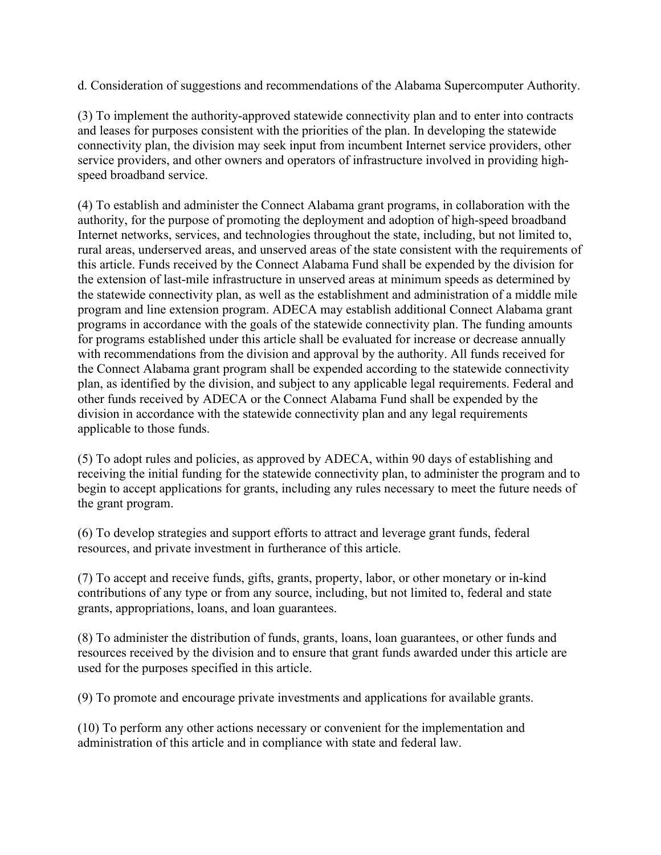d. Consideration of suggestions and recommendations of the Alabama Supercomputer Authority.

(3) To implement the authority-approved statewide connectivity plan and to enter into contracts and leases for purposes consistent with the priorities of the plan. In developing the statewide connectivity plan, the division may seek input from incumbent Internet service providers, other service providers, and other owners and operators of infrastructure involved in providing highspeed broadband service.

(4) To establish and administer the Connect Alabama grant programs, in collaboration with the authority, for the purpose of promoting the deployment and adoption of high-speed broadband Internet networks, services, and technologies throughout the state, including, but not limited to, rural areas, underserved areas, and unserved areas of the state consistent with the requirements of this article. Funds received by the Connect Alabama Fund shall be expended by the division for the extension of last-mile infrastructure in unserved areas at minimum speeds as determined by the statewide connectivity plan, as well as the establishment and administration of a middle mile program and line extension program. ADECA may establish additional Connect Alabama grant programs in accordance with the goals of the statewide connectivity plan. The funding amounts for programs established under this article shall be evaluated for increase or decrease annually with recommendations from the division and approval by the authority. All funds received for the Connect Alabama grant program shall be expended according to the statewide connectivity plan, as identified by the division, and subject to any applicable legal requirements. Federal and other funds received by ADECA or the Connect Alabama Fund shall be expended by the division in accordance with the statewide connectivity plan and any legal requirements applicable to those funds.

(5) To adopt rules and policies, as approved by ADECA, within 90 days of establishing and receiving the initial funding for the statewide connectivity plan, to administer the program and to begin to accept applications for grants, including any rules necessary to meet the future needs of the grant program.

(6) To develop strategies and support efforts to attract and leverage grant funds, federal resources, and private investment in furtherance of this article.

(7) To accept and receive funds, gifts, grants, property, labor, or other monetary or in-kind contributions of any type or from any source, including, but not limited to, federal and state grants, appropriations, loans, and loan guarantees.

(8) To administer the distribution of funds, grants, loans, loan guarantees, or other funds and resources received by the division and to ensure that grant funds awarded under this article are used for the purposes specified in this article.

(9) To promote and encourage private investments and applications for available grants.

(10) To perform any other actions necessary or convenient for the implementation and administration of this article and in compliance with state and federal law.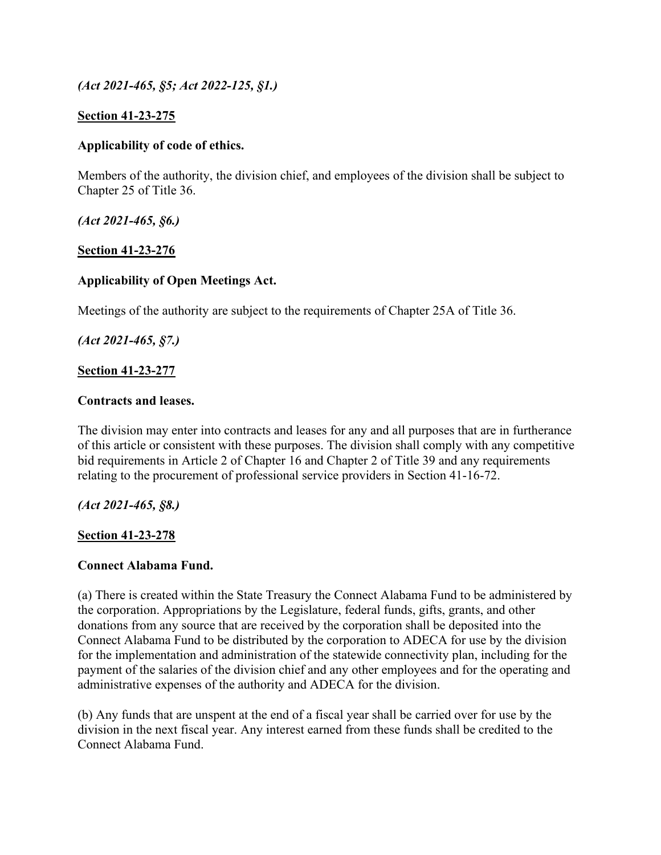*(Act 2021-465, §5; Act 2022-125, §1.)*

#### **Section 41-23-275**

#### **Applicability of code of ethics.**

Members of the authority, the division chief, and employees of the division shall be subject to Chapter 25 of Title 36.

*(Act 2021-465, §6.)*

#### **Section 41-23-276**

#### **Applicability of Open Meetings Act.**

Meetings of the authority are subject to the requirements of Chapter 25A of Title 36.

*(Act 2021-465, §7.)*

#### **Section 41-23-277**

#### **Contracts and leases.**

The division may enter into contracts and leases for any and all purposes that are in furtherance of this article or consistent with these purposes. The division shall comply with any competitive bid requirements in Article 2 of Chapter 16 and Chapter 2 of Title 39 and any requirements relating to the procurement of professional service providers in Section 41-16-72.

*(Act 2021-465, §8.)*

#### **Section 41-23-278**

#### **Connect Alabama Fund.**

(a) There is created within the State Treasury the Connect Alabama Fund to be administered by the corporation. Appropriations by the Legislature, federal funds, gifts, grants, and other donations from any source that are received by the corporation shall be deposited into the Connect Alabama Fund to be distributed by the corporation to ADECA for use by the division for the implementation and administration of the statewide connectivity plan, including for the payment of the salaries of the division chief and any other employees and for the operating and administrative expenses of the authority and ADECA for the division.

(b) Any funds that are unspent at the end of a fiscal year shall be carried over for use by the division in the next fiscal year. Any interest earned from these funds shall be credited to the Connect Alabama Fund.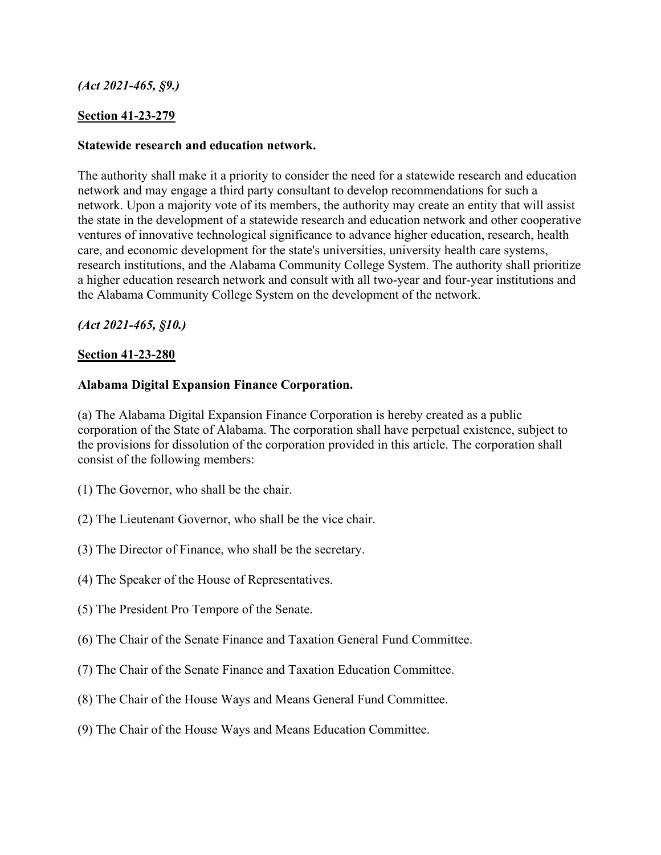## *(Act 2021-465, §9.)*

## **Section 41-23-279**

### **Statewide research and education network.**

The authority shall make it a priority to consider the need for a statewide research and education network and may engage a third party consultant to develop recommendations for such a network. Upon a majority vote of its members, the authority may create an entity that will assist the state in the development of a statewide research and education network and other cooperative ventures of innovative technological significance to advance higher education, research, health care, and economic development for the state's universities, university health care systems, research institutions, and the Alabama Community College System. The authority shall prioritize a higher education research network and consult with all two-year and four-year institutions and the Alabama Community College System on the development of the network.

*(Act 2021-465, §10.)*

#### **Section 41-23-280**

#### **Alabama Digital Expansion Finance Corporation.**

(a) The Alabama Digital Expansion Finance Corporation is hereby created as a public corporation of the State of Alabama. The corporation shall have perpetual existence, subject to the provisions for dissolution of the corporation provided in this article. The corporation shall consist of the following members:

- (1) The Governor, who shall be the chair.
- (2) The Lieutenant Governor, who shall be the vice chair.
- (3) The Director of Finance, who shall be the secretary.
- (4) The Speaker of the House of Representatives.
- (5) The President Pro Tempore of the Senate.
- (6) The Chair of the Senate Finance and Taxation General Fund Committee.
- (7) The Chair of the Senate Finance and Taxation Education Committee.
- (8) The Chair of the House Ways and Means General Fund Committee.
- (9) The Chair of the House Ways and Means Education Committee.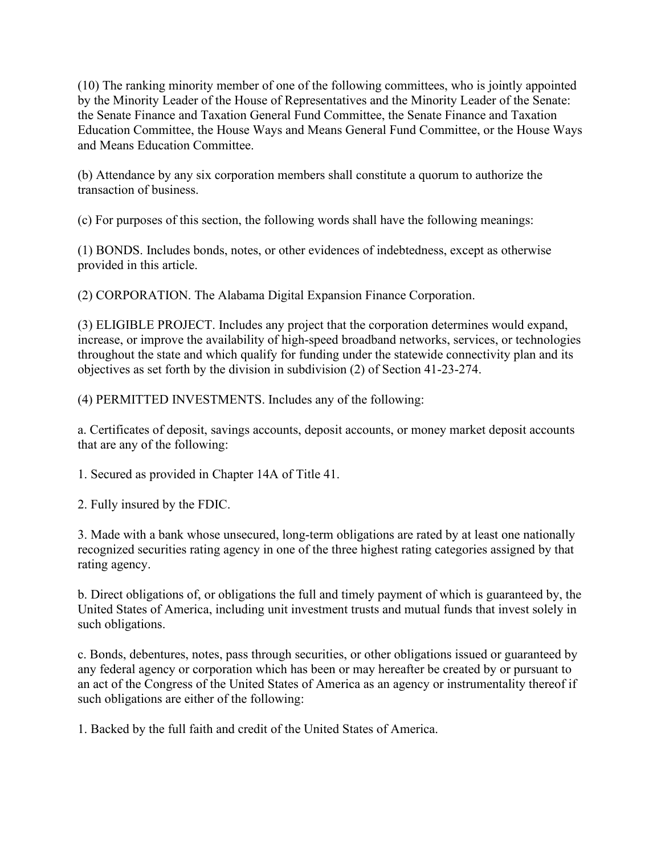(10) The ranking minority member of one of the following committees, who is jointly appointed by the Minority Leader of the House of Representatives and the Minority Leader of the Senate: the Senate Finance and Taxation General Fund Committee, the Senate Finance and Taxation Education Committee, the House Ways and Means General Fund Committee, or the House Ways and Means Education Committee.

(b) Attendance by any six corporation members shall constitute a quorum to authorize the transaction of business.

(c) For purposes of this section, the following words shall have the following meanings:

(1) BONDS. Includes bonds, notes, or other evidences of indebtedness, except as otherwise provided in this article.

(2) CORPORATION. The Alabama Digital Expansion Finance Corporation.

(3) ELIGIBLE PROJECT. Includes any project that the corporation determines would expand, increase, or improve the availability of high-speed broadband networks, services, or technologies throughout the state and which qualify for funding under the statewide connectivity plan and its objectives as set forth by the division in subdivision (2) of Section 41-23-274.

(4) PERMITTED INVESTMENTS. Includes any of the following:

a. Certificates of deposit, savings accounts, deposit accounts, or money market deposit accounts that are any of the following:

1. Secured as provided in Chapter 14A of Title 41.

2. Fully insured by the FDIC.

3. Made with a bank whose unsecured, long-term obligations are rated by at least one nationally recognized securities rating agency in one of the three highest rating categories assigned by that rating agency.

b. Direct obligations of, or obligations the full and timely payment of which is guaranteed by, the United States of America, including unit investment trusts and mutual funds that invest solely in such obligations.

c. Bonds, debentures, notes, pass through securities, or other obligations issued or guaranteed by any federal agency or corporation which has been or may hereafter be created by or pursuant to an act of the Congress of the United States of America as an agency or instrumentality thereof if such obligations are either of the following:

1. Backed by the full faith and credit of the United States of America.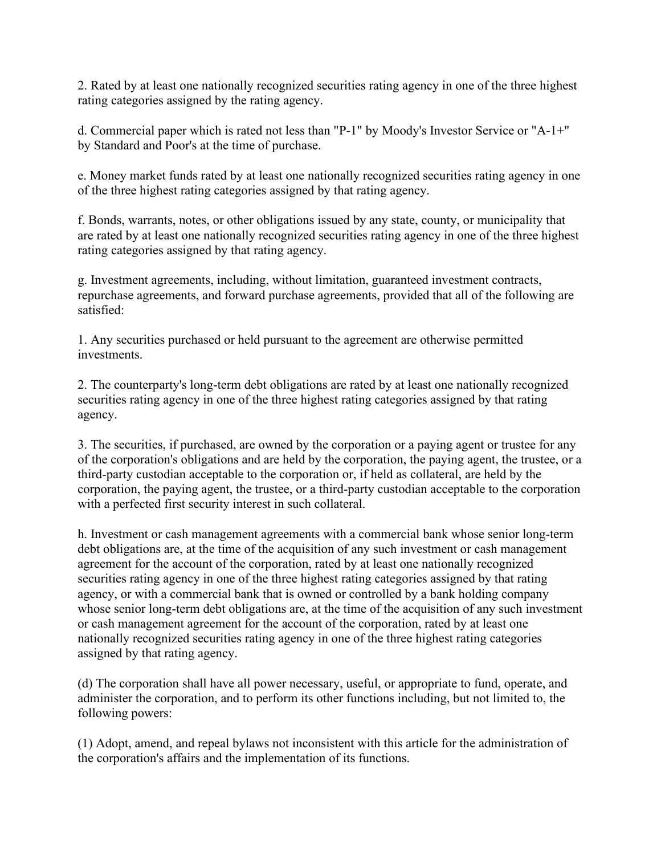2. Rated by at least one nationally recognized securities rating agency in one of the three highest rating categories assigned by the rating agency.

d. Commercial paper which is rated not less than "P-1" by Moody's Investor Service or "A-1+" by Standard and Poor's at the time of purchase.

e. Money market funds rated by at least one nationally recognized securities rating agency in one of the three highest rating categories assigned by that rating agency.

f. Bonds, warrants, notes, or other obligations issued by any state, county, or municipality that are rated by at least one nationally recognized securities rating agency in one of the three highest rating categories assigned by that rating agency.

g. Investment agreements, including, without limitation, guaranteed investment contracts, repurchase agreements, and forward purchase agreements, provided that all of the following are satisfied:

1. Any securities purchased or held pursuant to the agreement are otherwise permitted investments.

2. The counterparty's long-term debt obligations are rated by at least one nationally recognized securities rating agency in one of the three highest rating categories assigned by that rating agency.

3. The securities, if purchased, are owned by the corporation or a paying agent or trustee for any of the corporation's obligations and are held by the corporation, the paying agent, the trustee, or a third-party custodian acceptable to the corporation or, if held as collateral, are held by the corporation, the paying agent, the trustee, or a third-party custodian acceptable to the corporation with a perfected first security interest in such collateral.

h. Investment or cash management agreements with a commercial bank whose senior long-term debt obligations are, at the time of the acquisition of any such investment or cash management agreement for the account of the corporation, rated by at least one nationally recognized securities rating agency in one of the three highest rating categories assigned by that rating agency, or with a commercial bank that is owned or controlled by a bank holding company whose senior long-term debt obligations are, at the time of the acquisition of any such investment or cash management agreement for the account of the corporation, rated by at least one nationally recognized securities rating agency in one of the three highest rating categories assigned by that rating agency.

(d) The corporation shall have all power necessary, useful, or appropriate to fund, operate, and administer the corporation, and to perform its other functions including, but not limited to, the following powers:

(1) Adopt, amend, and repeal bylaws not inconsistent with this article for the administration of the corporation's affairs and the implementation of its functions.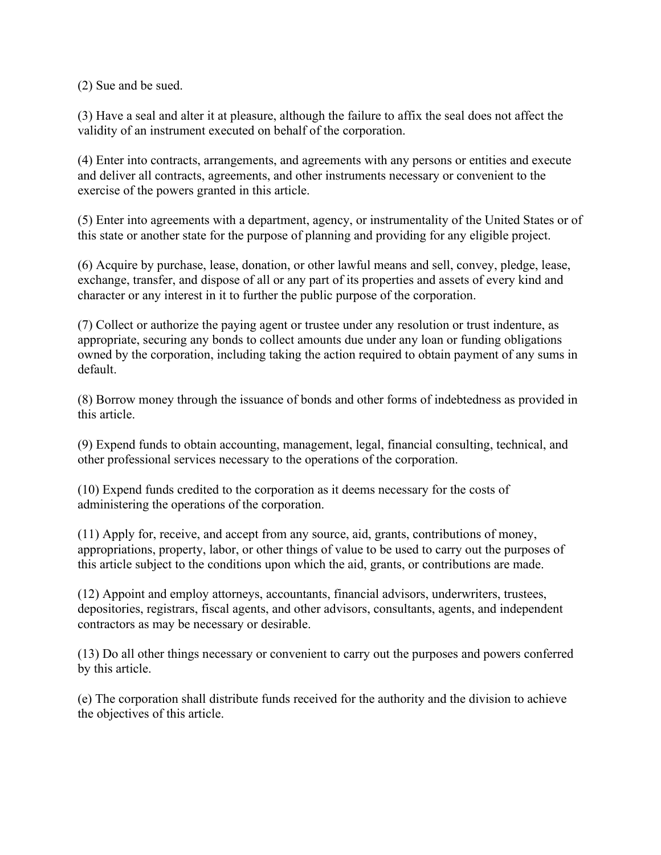(2) Sue and be sued.

(3) Have a seal and alter it at pleasure, although the failure to affix the seal does not affect the validity of an instrument executed on behalf of the corporation.

(4) Enter into contracts, arrangements, and agreements with any persons or entities and execute and deliver all contracts, agreements, and other instruments necessary or convenient to the exercise of the powers granted in this article.

(5) Enter into agreements with a department, agency, or instrumentality of the United States or of this state or another state for the purpose of planning and providing for any eligible project.

(6) Acquire by purchase, lease, donation, or other lawful means and sell, convey, pledge, lease, exchange, transfer, and dispose of all or any part of its properties and assets of every kind and character or any interest in it to further the public purpose of the corporation.

(7) Collect or authorize the paying agent or trustee under any resolution or trust indenture, as appropriate, securing any bonds to collect amounts due under any loan or funding obligations owned by the corporation, including taking the action required to obtain payment of any sums in default.

(8) Borrow money through the issuance of bonds and other forms of indebtedness as provided in this article.

(9) Expend funds to obtain accounting, management, legal, financial consulting, technical, and other professional services necessary to the operations of the corporation.

(10) Expend funds credited to the corporation as it deems necessary for the costs of administering the operations of the corporation.

(11) Apply for, receive, and accept from any source, aid, grants, contributions of money, appropriations, property, labor, or other things of value to be used to carry out the purposes of this article subject to the conditions upon which the aid, grants, or contributions are made.

(12) Appoint and employ attorneys, accountants, financial advisors, underwriters, trustees, depositories, registrars, fiscal agents, and other advisors, consultants, agents, and independent contractors as may be necessary or desirable.

(13) Do all other things necessary or convenient to carry out the purposes and powers conferred by this article.

(e) The corporation shall distribute funds received for the authority and the division to achieve the objectives of this article.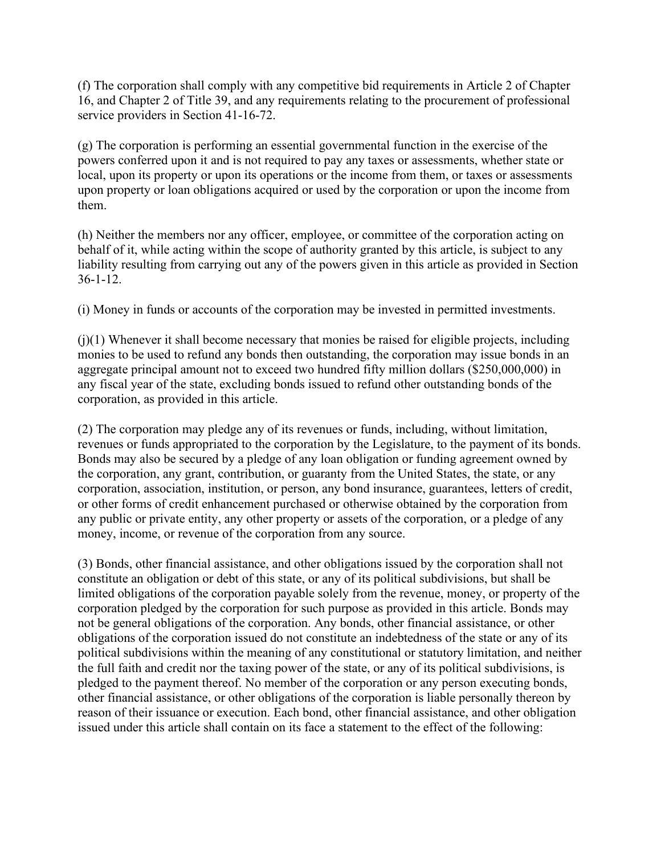(f) The corporation shall comply with any competitive bid requirements in Article 2 of Chapter 16, and Chapter 2 of Title 39, and any requirements relating to the procurement of professional service providers in Section 41-16-72.

(g) The corporation is performing an essential governmental function in the exercise of the powers conferred upon it and is not required to pay any taxes or assessments, whether state or local, upon its property or upon its operations or the income from them, or taxes or assessments upon property or loan obligations acquired or used by the corporation or upon the income from them.

(h) Neither the members nor any officer, employee, or committee of the corporation acting on behalf of it, while acting within the scope of authority granted by this article, is subject to any liability resulting from carrying out any of the powers given in this article as provided in Section 36-1-12.

(i) Money in funds or accounts of the corporation may be invested in permitted investments.

 $(j)(1)$  Whenever it shall become necessary that monies be raised for eligible projects, including monies to be used to refund any bonds then outstanding, the corporation may issue bonds in an aggregate principal amount not to exceed two hundred fifty million dollars (\$250,000,000) in any fiscal year of the state, excluding bonds issued to refund other outstanding bonds of the corporation, as provided in this article.

(2) The corporation may pledge any of its revenues or funds, including, without limitation, revenues or funds appropriated to the corporation by the Legislature, to the payment of its bonds. Bonds may also be secured by a pledge of any loan obligation or funding agreement owned by the corporation, any grant, contribution, or guaranty from the United States, the state, or any corporation, association, institution, or person, any bond insurance, guarantees, letters of credit, or other forms of credit enhancement purchased or otherwise obtained by the corporation from any public or private entity, any other property or assets of the corporation, or a pledge of any money, income, or revenue of the corporation from any source.

(3) Bonds, other financial assistance, and other obligations issued by the corporation shall not constitute an obligation or debt of this state, or any of its political subdivisions, but shall be limited obligations of the corporation payable solely from the revenue, money, or property of the corporation pledged by the corporation for such purpose as provided in this article. Bonds may not be general obligations of the corporation. Any bonds, other financial assistance, or other obligations of the corporation issued do not constitute an indebtedness of the state or any of its political subdivisions within the meaning of any constitutional or statutory limitation, and neither the full faith and credit nor the taxing power of the state, or any of its political subdivisions, is pledged to the payment thereof. No member of the corporation or any person executing bonds, other financial assistance, or other obligations of the corporation is liable personally thereon by reason of their issuance or execution. Each bond, other financial assistance, and other obligation issued under this article shall contain on its face a statement to the effect of the following: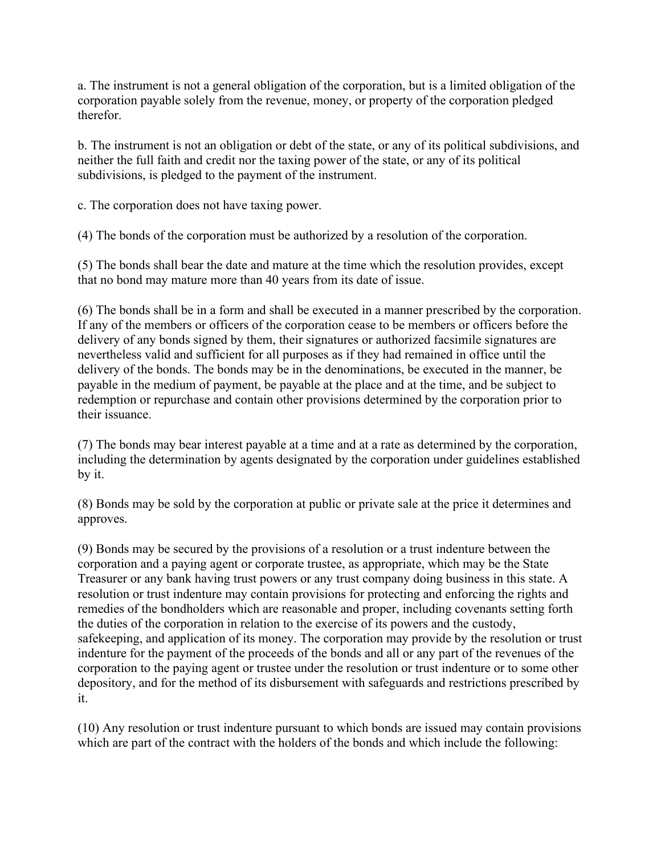a. The instrument is not a general obligation of the corporation, but is a limited obligation of the corporation payable solely from the revenue, money, or property of the corporation pledged therefor.

b. The instrument is not an obligation or debt of the state, or any of its political subdivisions, and neither the full faith and credit nor the taxing power of the state, or any of its political subdivisions, is pledged to the payment of the instrument.

c. The corporation does not have taxing power.

(4) The bonds of the corporation must be authorized by a resolution of the corporation.

(5) The bonds shall bear the date and mature at the time which the resolution provides, except that no bond may mature more than 40 years from its date of issue.

(6) The bonds shall be in a form and shall be executed in a manner prescribed by the corporation. If any of the members or officers of the corporation cease to be members or officers before the delivery of any bonds signed by them, their signatures or authorized facsimile signatures are nevertheless valid and sufficient for all purposes as if they had remained in office until the delivery of the bonds. The bonds may be in the denominations, be executed in the manner, be payable in the medium of payment, be payable at the place and at the time, and be subject to redemption or repurchase and contain other provisions determined by the corporation prior to their issuance.

(7) The bonds may bear interest payable at a time and at a rate as determined by the corporation, including the determination by agents designated by the corporation under guidelines established by it.

(8) Bonds may be sold by the corporation at public or private sale at the price it determines and approves.

(9) Bonds may be secured by the provisions of a resolution or a trust indenture between the corporation and a paying agent or corporate trustee, as appropriate, which may be the State Treasurer or any bank having trust powers or any trust company doing business in this state. A resolution or trust indenture may contain provisions for protecting and enforcing the rights and remedies of the bondholders which are reasonable and proper, including covenants setting forth the duties of the corporation in relation to the exercise of its powers and the custody, safekeeping, and application of its money. The corporation may provide by the resolution or trust indenture for the payment of the proceeds of the bonds and all or any part of the revenues of the corporation to the paying agent or trustee under the resolution or trust indenture or to some other depository, and for the method of its disbursement with safeguards and restrictions prescribed by it.

(10) Any resolution or trust indenture pursuant to which bonds are issued may contain provisions which are part of the contract with the holders of the bonds and which include the following: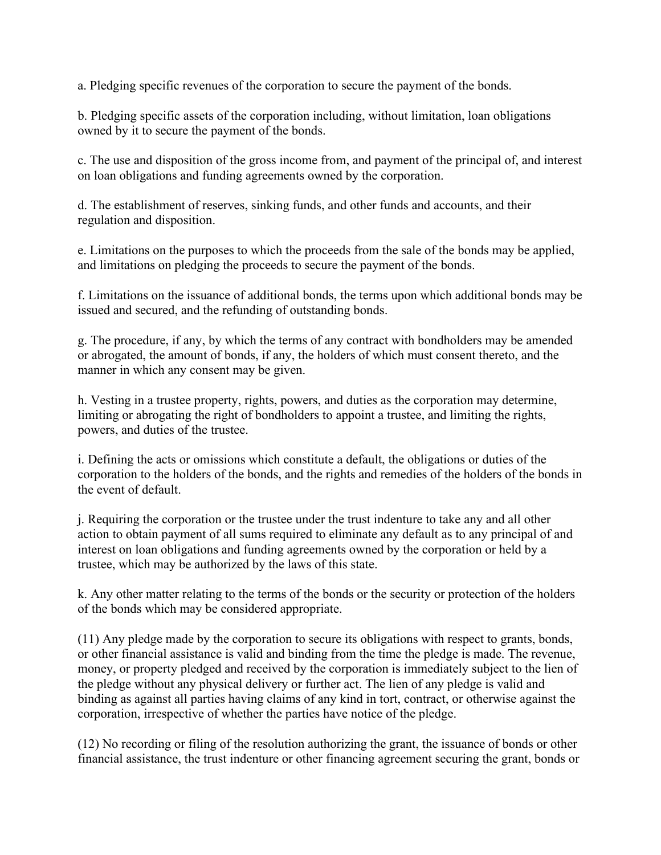a. Pledging specific revenues of the corporation to secure the payment of the bonds.

b. Pledging specific assets of the corporation including, without limitation, loan obligations owned by it to secure the payment of the bonds.

c. The use and disposition of the gross income from, and payment of the principal of, and interest on loan obligations and funding agreements owned by the corporation.

d. The establishment of reserves, sinking funds, and other funds and accounts, and their regulation and disposition.

e. Limitations on the purposes to which the proceeds from the sale of the bonds may be applied, and limitations on pledging the proceeds to secure the payment of the bonds.

f. Limitations on the issuance of additional bonds, the terms upon which additional bonds may be issued and secured, and the refunding of outstanding bonds.

g. The procedure, if any, by which the terms of any contract with bondholders may be amended or abrogated, the amount of bonds, if any, the holders of which must consent thereto, and the manner in which any consent may be given.

h. Vesting in a trustee property, rights, powers, and duties as the corporation may determine, limiting or abrogating the right of bondholders to appoint a trustee, and limiting the rights, powers, and duties of the trustee.

i. Defining the acts or omissions which constitute a default, the obligations or duties of the corporation to the holders of the bonds, and the rights and remedies of the holders of the bonds in the event of default.

j. Requiring the corporation or the trustee under the trust indenture to take any and all other action to obtain payment of all sums required to eliminate any default as to any principal of and interest on loan obligations and funding agreements owned by the corporation or held by a trustee, which may be authorized by the laws of this state.

k. Any other matter relating to the terms of the bonds or the security or protection of the holders of the bonds which may be considered appropriate.

(11) Any pledge made by the corporation to secure its obligations with respect to grants, bonds, or other financial assistance is valid and binding from the time the pledge is made. The revenue, money, or property pledged and received by the corporation is immediately subject to the lien of the pledge without any physical delivery or further act. The lien of any pledge is valid and binding as against all parties having claims of any kind in tort, contract, or otherwise against the corporation, irrespective of whether the parties have notice of the pledge.

(12) No recording or filing of the resolution authorizing the grant, the issuance of bonds or other financial assistance, the trust indenture or other financing agreement securing the grant, bonds or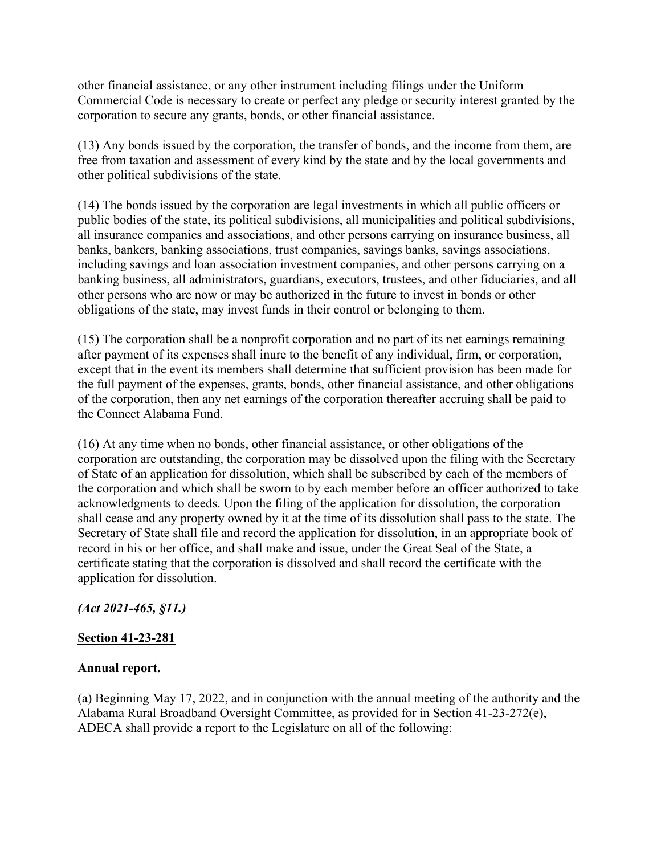other financial assistance, or any other instrument including filings under the Uniform Commercial Code is necessary to create or perfect any pledge or security interest granted by the corporation to secure any grants, bonds, or other financial assistance.

(13) Any bonds issued by the corporation, the transfer of bonds, and the income from them, are free from taxation and assessment of every kind by the state and by the local governments and other political subdivisions of the state.

(14) The bonds issued by the corporation are legal investments in which all public officers or public bodies of the state, its political subdivisions, all municipalities and political subdivisions, all insurance companies and associations, and other persons carrying on insurance business, all banks, bankers, banking associations, trust companies, savings banks, savings associations, including savings and loan association investment companies, and other persons carrying on a banking business, all administrators, guardians, executors, trustees, and other fiduciaries, and all other persons who are now or may be authorized in the future to invest in bonds or other obligations of the state, may invest funds in their control or belonging to them.

(15) The corporation shall be a nonprofit corporation and no part of its net earnings remaining after payment of its expenses shall inure to the benefit of any individual, firm, or corporation, except that in the event its members shall determine that sufficient provision has been made for the full payment of the expenses, grants, bonds, other financial assistance, and other obligations of the corporation, then any net earnings of the corporation thereafter accruing shall be paid to the Connect Alabama Fund.

(16) At any time when no bonds, other financial assistance, or other obligations of the corporation are outstanding, the corporation may be dissolved upon the filing with the Secretary of State of an application for dissolution, which shall be subscribed by each of the members of the corporation and which shall be sworn to by each member before an officer authorized to take acknowledgments to deeds. Upon the filing of the application for dissolution, the corporation shall cease and any property owned by it at the time of its dissolution shall pass to the state. The Secretary of State shall file and record the application for dissolution, in an appropriate book of record in his or her office, and shall make and issue, under the Great Seal of the State, a certificate stating that the corporation is dissolved and shall record the certificate with the application for dissolution.

## *(Act 2021-465, §11.)*

## **Section 41-23-281**

## **Annual report.**

(a) Beginning May 17, 2022, and in conjunction with the annual meeting of the authority and the Alabama Rural Broadband Oversight Committee, as provided for in Section 41-23-272(e), ADECA shall provide a report to the Legislature on all of the following: